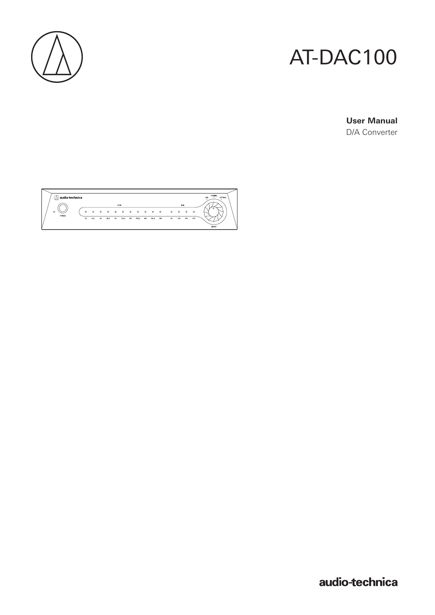

# AT-DAC100

**User Manual** D/A Converter

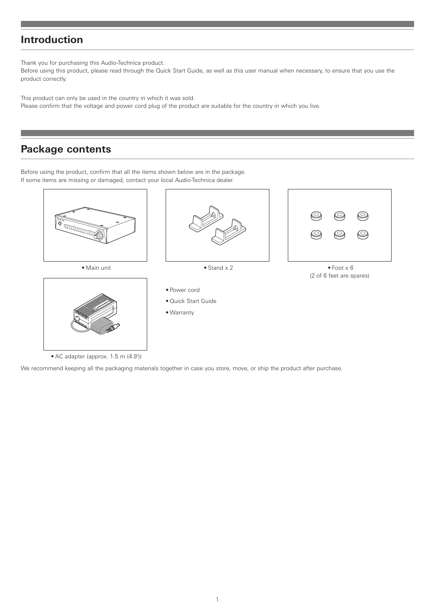### **Introduction**

Thank you for purchasing this Audio-Technica product.

Before using this product, please read through the Quick Start Guide, as well as this user manual when necessary, to ensure that you use the product correctly.

This product can only be used in the country in which it was sold. Please confirm that the voltage and power cord plug of the product are suitable for the country in which you live.

### **Package contents**

Before using the product, confirm that all the items shown below are in the package. If some items are missing or damaged, contact your local Audio-Technica dealer.



• AC adapter (approx. 1.5 m (4.9'))

We recommend keeping all the packaging materials together in case you store, move, or ship the product after purchase.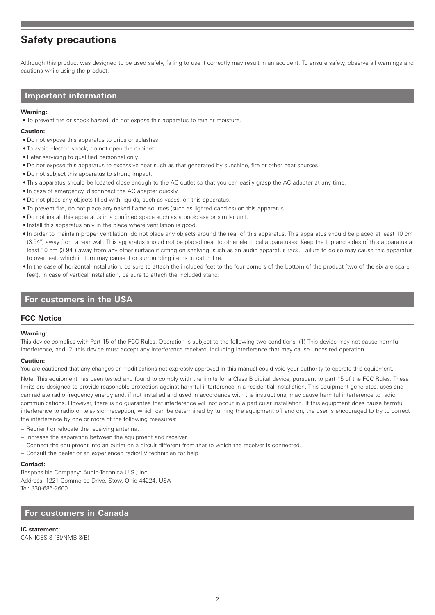### **Safety precautions**

Although this product was designed to be used safely, failing to use it correctly may result in an accident. To ensure safety, observe all warnings and cautions while using the product.

#### **Important information**

#### **Warning:**

• To prevent fire or shock hazard, do not expose this apparatus to rain or moisture.

#### **Caution:**

- Do not expose this apparatus to drips or splashes.
- To avoid electric shock, do not open the cabinet.
- Refer servicing to qualified personnel only.
- Do not expose this apparatus to excessive heat such as that generated by sunshine, fire or other heat sources.
- Do not subject this apparatus to strong impact.
- This apparatus should be located close enough to the AC outlet so that you can easily grasp the AC adapter at any time.
- In case of emergency, disconnect the AC adapter quickly.
- Do not place any objects filled with liquids, such as vases, on this apparatus.
- To prevent fire, do not place any naked flame sources (such as lighted candles) on this apparatus.
- Do not install this apparatus in a confined space such as a bookcase or similar unit.
- Install this apparatus only in the place where ventilation is good.
- In order to maintain proper ventilation, do not place any objects around the rear of this apparatus. This apparatus should be placed at least 10 cm (3.94") away from a rear wall. This apparatus should not be placed near to other electrical apparatuses. Keep the top and sides of this apparatus at least 10 cm (3.94") away from any other surface if sitting on shelving, such as an audio apparatus rack. Failure to do so may cause this apparatus to overheat, which in turn may cause it or surrounding items to catch fire.
- In the case of horizontal installation, be sure to attach the included feet to the four corners of the bottom of the product (two of the six are spare feet). In case of vertical installation, be sure to attach the included stand.

### **For customers in the USA**

#### **FCC Notice**

#### **Warning:**

This device complies with Part 15 of the FCC Rules. Operation is subject to the following two conditions: (1) This device may not cause harmful interference, and (2) this device must accept any interference received, including interference that may cause undesired operation.

#### **Caution:**

You are cautioned that any changes or modifications not expressly approved in this manual could void your authority to operate this equipment.

Note: This equipment has been tested and found to comply with the limits for a Class B digital device, pursuant to part 15 of the FCC Rules. These limits are designed to provide reasonable protection against harmful interference in a residential installation. This equipment generates, uses and can radiate radio frequency energy and, if not installed and used in accordance with the instructions, may cause harmful interference to radio communications. However, there is no guarantee that interference will not occur in a particular installation. If this equipment does cause harmful interference to radio or television reception, which can be determined by turning the equipment off and on, the user is encouraged to try to correct the interference by one or more of the following measures:

- Reorient or relocate the receiving antenna.
- Increase the separation between the equipment and receiver.
- Connect the equipment into an outlet on a circuit different from that to which the receiver is connected.
- Consult the dealer or an experienced radio/TV technician for help.

#### **Contact:**

Responsible Company: Audio-Technica U.S., Inc. Address: 1221 Commerce Drive, Stow, Ohio 44224, USA Tel: 330-686-2600

### **For customers in Canada**

**IC statement:** CAN ICES-3 (B)/NMB-3(B)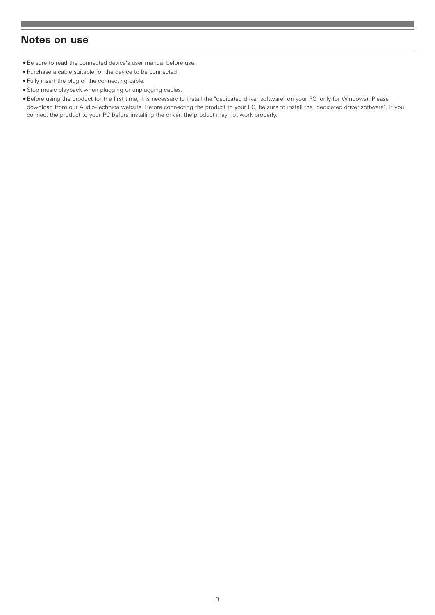### **Notes on use**

- Be sure to read the connected device's user manual before use.
- Purchase a cable suitable for the device to be connected.
- Fully insert the plug of the connecting cable.
- Stop music playback when plugging or unplugging cables.
- Before using the product for the first time, it is necessary to install the "dedicated driver software" on your PC (only for Windows). Please download from our Audio-Technica website. Before connecting the product to your PC, be sure to install the "dedicated driver software". If you connect the product to your PC before installing the driver, the product may not work properly.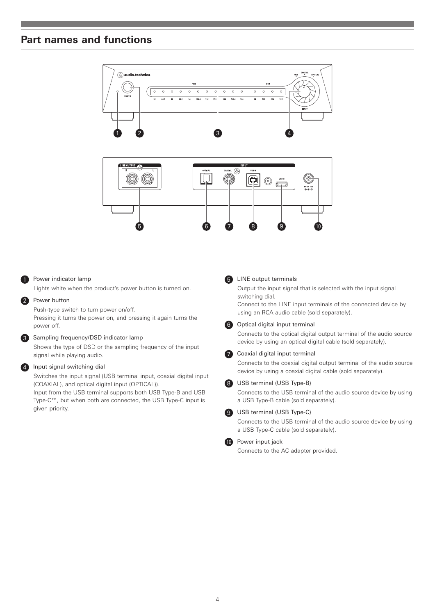### **Part names and functions**



#### **1** Power indicator lamp

Lights white when the product's power button is turned on.

#### 2 Power button

Push-type switch to turn power on/off. Pressing it turns the power on, and pressing it again turns the power off.

#### 3 Sampling frequency/DSD indicator lamp

Shows the type of DSD or the sampling frequency of the input signal while playing audio.

#### 4 Input signal switching dial

Switches the input signal (USB terminal input, coaxial digital input (COAXIAL), and optical digital input (OPTICAL)).

Input from the USB terminal supports both USB Type-B and USB Type-C™, but when both are connected, the USB Type-C input is given priority.

#### **6** LINE output terminals

Output the input signal that is selected with the input signal switching dial.

Connect to the LINE input terminals of the connected device by using an RCA audio cable (sold separately).

#### **6** Optical digital input terminal

Connects to the optical digital output terminal of the audio source device by using an optical digital cable (sold separately).

#### **7** Coaxial digital input terminal

Connects to the coaxial digital output terminal of the audio source device by using a coaxial digital cable (sold separately).

#### 8 USB terminal (USB Type-B)

Connects to the USB terminal of the audio source device by using a USB Type-B cable (sold separately).

#### 9 USB terminal (USB Type-C)

Connects to the USB terminal of the audio source device by using a USB Type-C cable (sold separately).

#### **10** Power input jack

Connects to the AC adapter provided.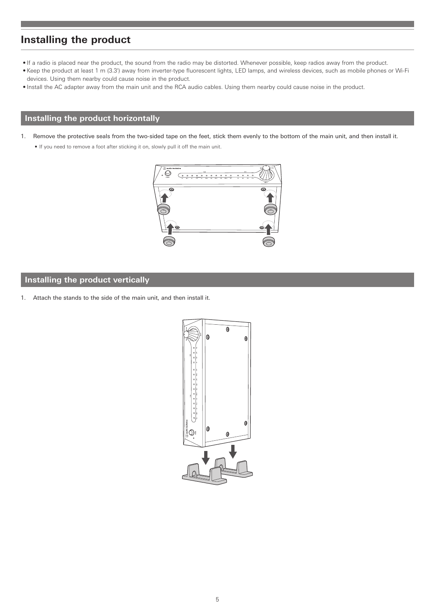### **Installing the product**

- If a radio is placed near the product, the sound from the radio may be distorted. Whenever possible, keep radios away from the product.
- Keep the product at least 1 m (3.3') away from inverter-type fluorescent lights, LED lamps, and wireless devices, such as mobile phones or Wi-Fi devices. Using them nearby could cause noise in the product.
- Install the AC adapter away from the main unit and the RCA audio cables. Using them nearby could cause noise in the product.

### **Installing the product horizontally**

- 1. Remove the protective seals from the two-sided tape on the feet, stick them evenly to the bottom of the main unit, and then install it.
	- If you need to remove a foot after sticking it on, slowly pull it off the main unit.



### **Installing the product vertically**

1. Attach the stands to the side of the main unit, and then install it.

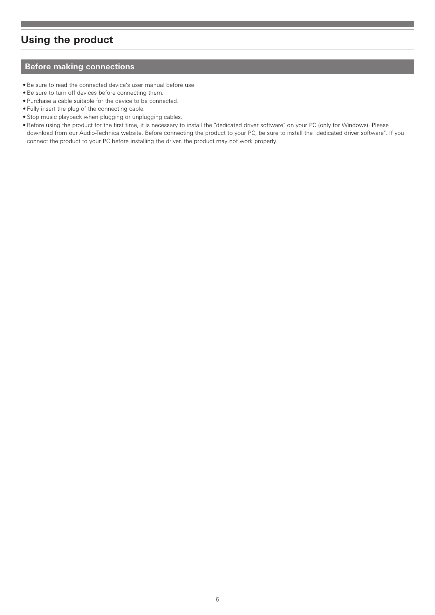### **Using the product**

### **Before making connections**

- Be sure to read the connected device's user manual before use.
- Be sure to turn off devices before connecting them.
- Purchase a cable suitable for the device to be connected.
- Fully insert the plug of the connecting cable.
- Stop music playback when plugging or unplugging cables.
- Before using the product for the first time, it is necessary to install the "dedicated driver software" on your PC (only for Windows). Please download from our Audio-Technica website. Before connecting the product to your PC, be sure to install the "dedicated driver software". If you connect the product to your PC before installing the driver, the product may not work properly.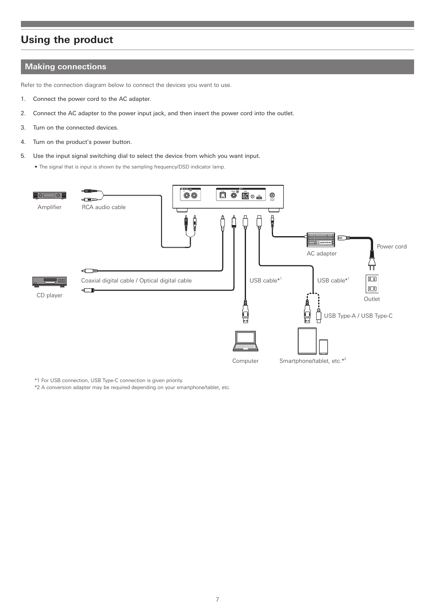### **Using the product**

#### **Making connections**

Refer to the connection diagram below to connect the devices you want to use.

- 1. Connect the power cord to the AC adapter.
- 2. Connect the AC adapter to the power input jack, and then insert the power cord into the outlet.
- 3. Turn on the connected devices.
- 4. Turn on the product's power button.
- 5. Use the input signal switching dial to select the device from which you want input.

• The signal that is input is shown by the sampling frequency/DSD indicator lamp.



\*1 For USB connection, USB Type-C connection is given priority.

\*2 A conversion adapter may be required depending on your smartphone/tablet, etc.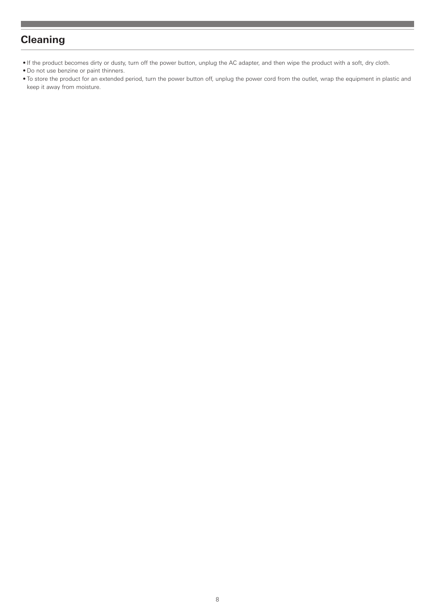### **Cleaning**

- If the product becomes dirty or dusty, turn off the power button, unplug the AC adapter, and then wipe the product with a soft, dry cloth.
- Do not use benzine or paint thinners.
- To store the product for an extended period, turn the power button off, unplug the power cord from the outlet, wrap the equipment in plastic and keep it away from moisture.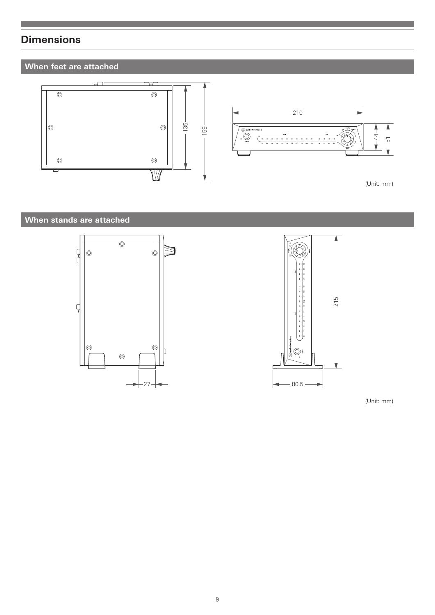### **Dimensions**

### **When feet are attached**



### **When stands are attached**





(Unit: mm)